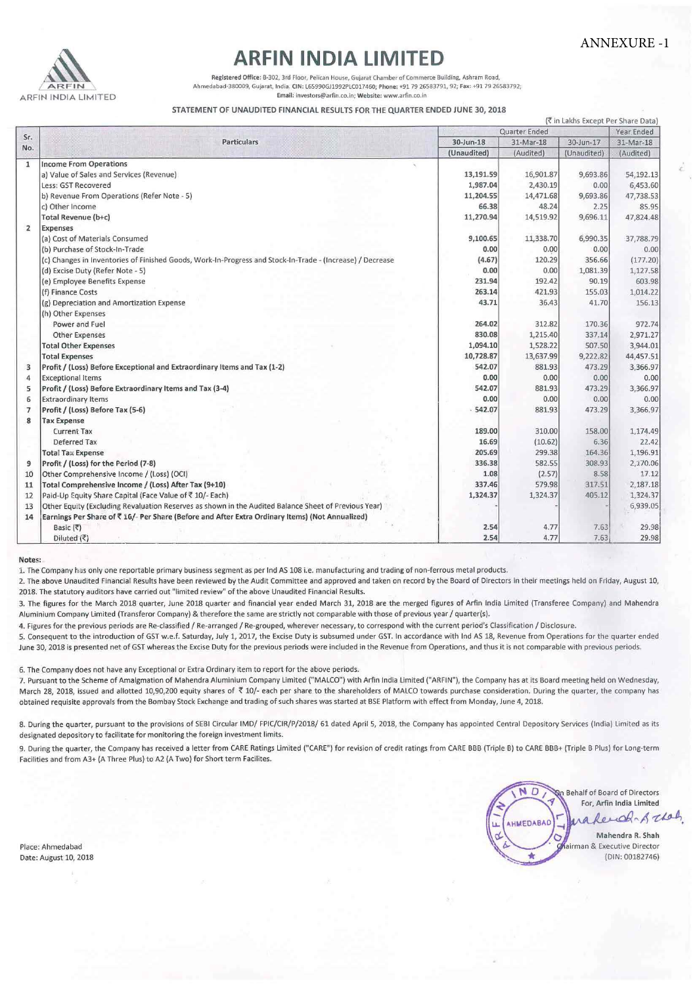ANNEXURE -1



## **ARFIN INDIA LIMITED**

**Registered Office: 8-302, 3rd Floor, Pelican House, Gujarat Chamber of Commerce Building, Ashram Road,**  بر المعامل بالمستقدر المستقدر بالمستقدر بالمستقدر المستقدر بالمستقدر بالمستقدر بالمستقدر المستقدر المستقدر الم<br>26583791, 92; Fax: +91 79 26583791, 92; Fax: +91 79 26583791, 92; Fax: +91 79 26583791, 92; Fax: +91 79 **Email: lnvestors@arfin.co,ln; Website: www.arfin.co.in** 

## STATEMENT OF UNAUDITED FINANCIAL RESULTS FOR THE QUARTER ENDED JUNE 30,2018

|                | ( Tin Lakhs Except Per Share Data)                                                                        |               |           |             |            |  |
|----------------|-----------------------------------------------------------------------------------------------------------|---------------|-----------|-------------|------------|--|
| Sr.            | <b>Particulars</b>                                                                                        | Quarter Ended |           |             | Year Ended |  |
|                |                                                                                                           | $30$ -Jun-18  | 31-Mar-18 | 30-Jun-17   | 31-Mar-18  |  |
| No.            |                                                                                                           | (Unaudited)   | (Audited) | (Unaudited) | (Audited)  |  |
| $\mathbf{1}$   | <b>Income From Operations</b>                                                                             |               |           |             |            |  |
|                | a) Value of Sales and Services (Revenue)                                                                  | 13,191.59     | 16,901.87 | 9,693.86    | 54,192.13  |  |
|                | Less: GST Recovered                                                                                       | 1,987.04      | 2,430.19  | 0.00        | 6,453.60   |  |
|                | b) Revenue From Operations (Refer Note - 5)                                                               | 11,204.55     | 14,471.68 | 9,693.86    | 47,738.53  |  |
|                | c) Other Income                                                                                           | 66.38         | 48.24     | 2.25        | 85.95      |  |
|                | Total Revenue (b+c)                                                                                       | 11,270.94     | 14,519.92 | 9,696.11    | 47,824.48  |  |
| $\overline{2}$ | <b>Expenses</b>                                                                                           |               |           |             |            |  |
|                | (a) Cost of Materials Consumed                                                                            | 9,100.65      | 11,338.70 | 6,990.35    | 37,788.79  |  |
|                | (b) Purchase of Stock-In-Trade                                                                            | 0.00          | 0.00      | 0.00        | 0.00       |  |
|                | (c) Changes in Inventories of Finished Goods, Work-In-Progress and Stock-In-Trade - (Increase) / Decrease | (4.67)        | 120.29    | 356.66      | (177.20)   |  |
|                | (d) Excise Duty (Refer Note - 5)                                                                          | 0.00          | 0.00      | 1,081.39    | 1,127.58   |  |
|                | (e) Employee Benefits Expense                                                                             | 231.94        | 192.42    | 90.19       | 603.98     |  |
|                | (f) Finance Costs                                                                                         | 263.14        | 421.93    | 155.03      | 1,014.22   |  |
|                | (g) Depreciation and Amortization Expense                                                                 | 43.71         | 36.43     | 41.70       | 156.13     |  |
|                | (h) Other Expenses                                                                                        |               |           |             |            |  |
|                | Power and Fuel                                                                                            | 264.02        | 312.82    | 170.36      | 972.74     |  |
|                | <b>Other Expenses</b>                                                                                     | 830.08        | 1,215.40  | 337.14      | 2,971.27   |  |
|                | <b>Total Other Expenses</b>                                                                               | 1,094.10      | 1,528.22  | 507.50      | 3,944.01   |  |
|                | <b>Total Expenses</b>                                                                                     | 10,728.87     | 13,637.99 | 9,222.82    | 44,457.51  |  |
| 3              | Profit / (Loss) Before Exceptional and Extraordinary Items and Tax (1-2)                                  | 542.07        | 881.93    | 473.29      | 3,366.97   |  |
| 4              | <b>Exceptional Items</b>                                                                                  | 0.00          | 0.00      | 0.00        | 0.00       |  |
| 5              | Profit / (Loss) Before Extraordinary Items and Tax (3-4)                                                  | 542.07        | 881.93    | 473.29      | 3,366.97   |  |
| 6              | <b>Extraordinary Items</b>                                                                                | 0.00          | 0.00      | 0.00        | 0.00       |  |
| $\overline{7}$ | Profit / (Loss) Before Tax (5-6)                                                                          | $-542.07$     | 881.93    | 473.29      | 3,366.97   |  |
| 8              | <b>Tax Expense</b>                                                                                        |               |           |             |            |  |
|                | <b>Current Tax</b>                                                                                        | 189.00        | 310.00    | 158.00      | 1,174.49   |  |
|                | Deferred Tax                                                                                              | 16.69         | (10.62)   | 6.36        | 22.42      |  |
|                | <b>Total Tax Expense</b>                                                                                  | 205.69        | 299.38    | 164.36      | 1,196.91   |  |
| 9              | Profit / (Loss) for the Period (7-8)                                                                      | 336.38        | 582.55    | 308.93      | 2,170.06   |  |
| 10             | Other Comprehensive Income / (Loss) (OCI)                                                                 | 1.08          | (2.57)    | 8.58        | 17.12      |  |
| 11             | Total Comprehensive Income / (Loss) After Tax (9+10)                                                      | 337.46        | 579.98    | 317.51      | 2,187.18   |  |
| 12             | Paid-Up Equity Share Capital (Face Value of ₹ 10/- Each)                                                  | 1,324.37      | 1,324.37  | 405.12      | 1,324.37   |  |
| 13             | Other Equity (Excluding Revaluation Reserves as shown in the Audited Balance Sheet of Previous Year)      |               |           |             | 6,939.05   |  |
| 14             | Earnings Per Share of ₹ 1G/- Per Share (Before and After Extra Ordinary Items) (Not Annualized)           |               |           |             |            |  |
|                | Basic (₹)                                                                                                 | 2.54          | 4.77      | 7.63        | 29.98      |  |
|                | Diluted (₹)                                                                                               | 2.54          | 4.77      | 7.63        | 29.98      |  |

Notes:

1. rhe Company has only one reportable primary business segment as per tnd AS 108 i.e. manufacturing and trading of non-ferrous metal products.

2. The above Unaudited Financial Results have been reviewed by the Audit Committee and approved and taken on record by the Board of Directors in their meetings held on Friday, August 10, 2018. The statutory auditors have carried out "limited review" of the above Unaudited Financial Results.

3. The figures for the March 2018 quarter, June 2018 quarter and financial year ended March 31, 2018 are the merged figures of Arfin India Limited (Transferee Company) and Mahendra Aluminium Company Limited (Transferor Company) & therefore the same are strictly not comparable with those of previous year / quarter(s).

4. Figures for the previous periods are Re-classified / Re-arranged / Re-grouped, wherever necessary, to correspond with the current period's Classification / Disclosure.

5. Consequent to the introduction of GST w.e.f. Saturday, July 1, 2017, the Excise Duty is subsumed under GST. In accordance with lnd AS 18, Revenue from Operations for the quarter ended June 30, 2018 is presented net of GST whereas the Excise Duty for the previous periods were included in the Revenue from Operations, and thus it is not comparable with previous periods.

6. The Company does not have any Exceptional or Extra Ordinary item to report for the above periods.

7. Pursuant to the Scheme of Amalgmation of Mahendra Aluminium Company Limited ("MALCO") with Arfin India Limited ("ARFIN"), the Company has at its Board meeting held on Wednesday, March 28, 2018, issued and allotted 10,90,200 equity shares of ₹ 10/- each per share to the shareholders of MALCO towards purchase consideration. During the quarter, the company has obtained requisite approvals from the Bombay Stock Exchange and trading of such shares was started at BSE Platform with effect from Monday, June 4, 2018.

8. During the quarter, pursuant to the provisions of SEBI Circular IMD/ FPIC/CIR/P/2018/ 61 dated April 5, 2018, the Company has appointed Central Depository Services (India) Limited as its designated depository to facilitate for monitoring the foreign investment limits.

9. During the quarter, the Company has received a letter from CARE Ratings Limited ("CARE") for revision of credit ratings from CARE BBB (Triple B) to CARE BBB+ (Triple B Plus) for Long-term Facilities and from A3+ (A Three Plus) to A2 (A Two) for Short term Facllites.

Place: Ahmedabad Date: August 10, 2018

ND On Behalf of Board of Directors For, Arfin India Limited Reach & that,  $\Delta$ AHMEDABAD ü Mahendra R. Shah ₹ airman & Executive Director ۰ (DIN: 00182746)